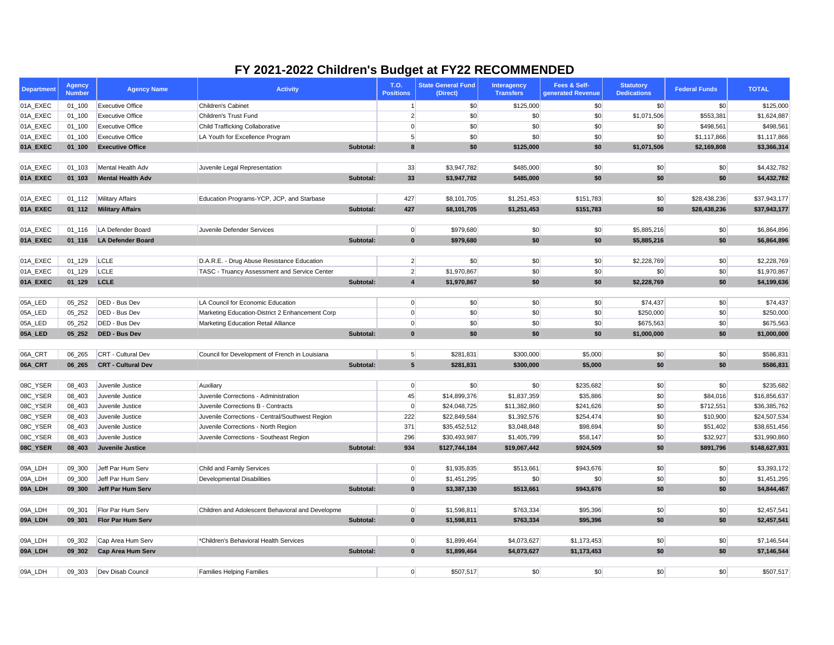|                                                                                                                                                         |                              | <b>Federal Funds</b> | <b>Dedications</b> | generated Revenue | <b>Transfers</b> | (Direct) | <b>Positions</b> | <b>Activity</b> | <b>Agency Name</b> | <b>Agency</b><br><b>Number</b> | <b>Department</b> |
|---------------------------------------------------------------------------------------------------------------------------------------------------------|------------------------------|----------------------|--------------------|-------------------|------------------|----------|------------------|-----------------|--------------------|--------------------------------|-------------------|
| \$0<br>01A_EXEC<br><b>Executive Office</b><br>Children's Cabinet<br>\$125,000<br>\$0<br>\$0<br>$01 - 100$                                               | \$0<br>\$125,000             |                      |                    |                   |                  |          |                  |                 |                    |                                |                   |
| 01A_EXEC<br><b>Executive Office</b><br>\$0<br>\$0<br>\$1,071,506<br>$01_100$<br>Children's Trust Fund<br>\$0                                            | \$553,381<br>\$1,624,887     |                      |                    |                   |                  |          |                  |                 |                    |                                |                   |
| \$0<br>\$0<br>\$0<br>01A_EXEC<br><b>Executive Office</b><br><b>Child Trafficking Collaborative</b><br>\$0<br>$01_100$<br>$\overline{0}$                 | \$498,561<br>\$498,561       |                      |                    |                   |                  |          |                  |                 |                    |                                |                   |
| \$0<br>\$0<br>01A_EXEC<br><b>Executive Office</b><br>LA Youth for Excellence Program<br>5 <sup>5</sup><br>\$0<br>\$0<br>$01 - 100$                      | \$1,117,866<br>\$1,117,866   |                      |                    |                   |                  |          |                  |                 |                    |                                |                   |
| \$0<br>01A_EXEC<br><b>Executive Office</b><br>Subtotal:<br>$\boldsymbol{8}$<br>\$125,000<br>\$0<br>\$1,071,506<br>$01 - 100$                            | \$3,366,314<br>\$2,169,808   |                      |                    |                   |                  |          |                  |                 |                    |                                |                   |
|                                                                                                                                                         |                              |                      |                    |                   |                  |          |                  |                 |                    |                                |                   |
| \$0<br>\$0<br>01A_EXEC<br>Mental Health Adv<br>Juvenile Legal Representation<br>33<br>\$3,947,782<br>\$485,000<br>$01_{-}103$                           | \$0<br>\$4,432,782           |                      |                    |                   |                  |          |                  |                 |                    |                                |                   |
| Subtotal:<br>\$485,000<br>\$0<br>\$0<br>01A_EXEC<br><b>Mental Health Adv</b><br>33<br>\$3,947,782<br>$01 - 103$                                         | \$0<br>\$4,432,782           |                      |                    |                   |                  |          |                  |                 |                    |                                |                   |
|                                                                                                                                                         |                              |                      |                    |                   |                  |          |                  |                 |                    |                                |                   |
| <b>Military Affairs</b><br>Education Programs-YCP, JCP, and Starbase<br>427<br>\$151,783<br>\$0<br>01A_EXEC<br>$01 - 112$<br>\$8,101,705<br>\$1,251,453 | \$28,438,236<br>\$37,943,177 |                      |                    |                   |                  |          |                  |                 |                    |                                |                   |
| 427<br>01A_EXEC<br>$01_112$<br><b>Military Affairs</b><br>Subtotal:<br>\$8,101,705<br>\$1,251,453<br>\$151,783<br>\$0                                   | \$28,438,236<br>\$37,943,177 |                      |                    |                   |                  |          |                  |                 |                    |                                |                   |
|                                                                                                                                                         |                              |                      |                    |                   |                  |          |                  |                 |                    |                                |                   |
| Juvenile Defender Services<br> 0 <br>\$979,680<br>$ 10\rangle$<br>01A_EXEC<br>LA Defender Board<br>$ 10\rangle$<br>\$5,885,216<br>$01 - 116$            | \$0<br>\$6,864,896           |                      |                    |                   |                  |          |                  |                 |                    |                                |                   |
| $\mathbf{0}$<br>\$0<br>\$0<br>01A_EXEC<br>Subtotal:<br>\$979,680<br>$01_116$<br><b>LA Defender Board</b><br>\$5,885,216                                 | \$0<br>\$6,864,896           |                      |                    |                   |                  |          |                  |                 |                    |                                |                   |
| <b>LCLE</b>                                                                                                                                             |                              |                      |                    |                   |                  |          |                  |                 |                    |                                |                   |
| $2\vert$<br>\$0<br>$01 - 129$<br>D.A.R.E. - Drug Abuse Resistance Education<br>\$0<br>\$0<br>\$2,228,769<br>01A_EXEC<br>$2\vert$<br>LCLE                | \$0<br>\$2,228,769           |                      |                    |                   |                  |          |                  |                 |                    |                                |                   |
| TASC - Truancy Assessment and Service Center<br>\$1,970,867<br>$ 10\rangle$<br>\$0<br>\$0<br>01A_EXEC<br>$01 - 129$                                     | \$0<br>\$1,970,867           |                      |                    |                   |                  |          |                  |                 |                    |                                |                   |
| 01A_EXEC<br>$01_129$<br><b>LCLE</b><br>Subtotal:<br>$\overline{4}$<br>\$1,970,867<br>\$0<br>\$0<br>\$2,228,769                                          | \$0<br>\$4,199,636           |                      |                    |                   |                  |          |                  |                 |                    |                                |                   |
| \$0<br>\$0<br>\$0<br>DED - Bus Dev<br>05A_LED<br>05 252<br>LA Council for Economic Education<br> 0 <br>\$74,437                                         | \$0<br>\$74,437              |                      |                    |                   |                  |          |                  |                 |                    |                                |                   |
| \$0<br>\$0<br>$\overline{0}$<br>\$0<br>05A_LED<br>05_252<br>DED - Bus Dev<br>Marketing Education-District 2 Enhancement Corp<br>\$250,000               | \$0<br>\$250,000             |                      |                    |                   |                  |          |                  |                 |                    |                                |                   |
| 0 <br>\$0<br>\$0<br>\$0<br>\$675,563<br>05A_LED<br>05_252<br>DED - Bus Dev<br><b>Marketing Education Retail Alliance</b>                                | \$0<br>\$675,563             |                      |                    |                   |                  |          |                  |                 |                    |                                |                   |
| \$0<br>\$0<br>\$0<br><b>DED - Bus Dev</b><br>Subtotal:<br>$\mathbf{0}$<br>05A_LED<br>05 252<br>\$1,000,000                                              | \$0<br>\$1,000,000           |                      |                    |                   |                  |          |                  |                 |                    |                                |                   |
|                                                                                                                                                         |                              |                      |                    |                   |                  |          |                  |                 |                    |                                |                   |
| CRT - Cultural Dev<br>5 <sup>2</sup><br>\$281,831<br>\$300,000<br>\$5,000<br>\$0<br>06A_CRT<br>06_265<br>Council for Development of French in Louisiana | \$0<br>\$586,831             |                      |                    |                   |                  |          |                  |                 |                    |                                |                   |
| 5 <sub>5</sub><br><b>CRT - Cultural Dev</b><br>Subtotal:<br>\$281,831<br>\$300,000<br>\$5,000<br>\$0<br>06A_CRT<br>06 265                               | \$0<br>\$586,831             |                      |                    |                   |                  |          |                  |                 |                    |                                |                   |
|                                                                                                                                                         |                              |                      |                    |                   |                  |          |                  |                 |                    |                                |                   |
| 08C_YSER 08_403 Juvenile Justice<br>Auxiliary<br>$\boldsymbol{\mathsf{S}}$<br>\$0<br>\$0<br>\$235,682<br> 0                                             | \$0<br>\$235,682             |                      |                    |                   |                  |          |                  |                 |                    |                                |                   |
| 08C_YSER<br>Juvenile Justice<br>Juvenile Corrections - Administration<br>\$1,837,359<br>\$35,886<br>\$0<br>08_403<br>45<br>\$14,899,376                 | \$84,016<br>\$16,856,637     |                      |                    |                   |                  |          |                  |                 |                    |                                |                   |
| Juvenile Justice<br>\$241,626<br>\$0<br>08C_YSER<br>08_403<br>Juvenile Corrections B - Contracts<br>\$24,048,725<br>\$11,382,860<br>0                   | \$712,551<br>\$36,385,762    |                      |                    |                   |                  |          |                  |                 |                    |                                |                   |
| 08C_YSER<br>Juvenile Justice<br>Juvenile Corrections - Central/Southwest Region<br>\$0<br>08_403<br>222<br>\$22,849,584<br>\$1,392,576<br>\$254,474     | \$10,900<br>\$24,507,534     |                      |                    |                   |                  |          |                  |                 |                    |                                |                   |
| Juvenile Justice<br>\$0<br>08C_YSER<br>Juvenile Corrections - North Region<br>371<br>\$35,452,512<br>\$3,048,848<br>\$98,694<br>08_403                  | \$51,402<br>\$38,651,456     |                      |                    |                   |                  |          |                  |                 |                    |                                |                   |
| Juvenile Justice<br>\$58,147<br>\$0<br>08C_YSER<br>08_403<br>Juvenile Corrections - Southeast Region<br>296<br>\$30,493,987<br>\$1,405,799              | \$32,927<br>\$31,990,860     |                      |                    |                   |                  |          |                  |                 |                    |                                |                   |
| 08C_YSER<br>Juvenile Justice<br>Subtotal:<br>934<br>\$924,509<br>\$0<br>08_403<br>\$127,744,184<br>\$19,067,442                                         | \$891,796<br>\$148,627,931   |                      |                    |                   |                  |          |                  |                 |                    |                                |                   |
|                                                                                                                                                         |                              |                      |                    |                   |                  |          |                  |                 |                    |                                |                   |
| Jeff Par Hum Serv<br>Child and Family Services<br>\$943,676<br>\$0<br>09A_LDH<br> 0 <br>\$1,935,835<br>\$513,661<br>09_300                              | \$3,393,172<br>\$0           |                      |                    |                   |                  |          |                  |                 |                    |                                |                   |
| 0 <br>\$0<br>Jeff Par Hum Serv<br>Developmental Disabilities<br>\$1,451,295<br>$ $ \$0<br>\$0<br>09A_LDH<br>09_300                                      | \$0<br>\$1,451,295           |                      |                    |                   |                  |          |                  |                 |                    |                                |                   |
| Jeff Par Hum Serv<br>\$513,661<br>\$0<br>09A_LDH<br>Subtotal:<br>$\mathbf{0}$<br>\$3,387,130<br>\$943,676<br>09_300                                     | \$0<br>\$4,844,467           |                      |                    |                   |                  |          |                  |                 |                    |                                |                   |
|                                                                                                                                                         |                              |                      |                    |                   |                  |          |                  |                 |                    |                                |                   |
| 0 <br>\$0<br>09A_LDH<br>Flor Par Hum Serv<br>Children and Adolescent Behavioral and Developme<br>\$1,598,811<br>\$763,334<br>\$95,396<br>09_301         | \$0<br>\$2,457,541           |                      |                    |                   |                  |          |                  |                 |                    |                                |                   |
| \$0<br>09A_LDH<br>Flor Par Hum Serv<br>Subtotal:<br>\$1,598,811<br>\$763,334<br>\$95,396<br>09_301<br>$\mathbf{0}$                                      | \$0<br>\$2,457,541           |                      |                    |                   |                  |          |                  |                 |                    |                                |                   |
|                                                                                                                                                         |                              |                      |                    |                   |                  |          |                  |                 |                    |                                |                   |
| 0 <br>\$0<br>Cap Area Hum Serv<br>*Children's Behavioral Health Services<br>\$1,899,464<br>\$4,073,627<br>\$1,173,453<br>09A_LDH<br>09_302              | \$0<br>\$7,146,544           |                      |                    |                   |                  |          |                  |                 |                    |                                |                   |
| Subtotal:<br>\$0<br>09A_LDH<br><b>Cap Area Hum Serv</b><br>$\mathbf{0}$<br>\$1,899,464<br>\$4,073,627<br>\$1,173,453<br>09_302                          | \$0<br>\$7,146,544           |                      |                    |                   |                  |          |                  |                 |                    |                                |                   |
| <b>Families Helping Families</b><br> 0 <br>\$507,517<br>$ 10\rangle$<br>$ $ \$0<br>\$0<br>09A_LDH<br>Dev Disab Council<br>09 303                        | \$0<br>\$507,517             |                      |                    |                   |                  |          |                  |                 |                    |                                |                   |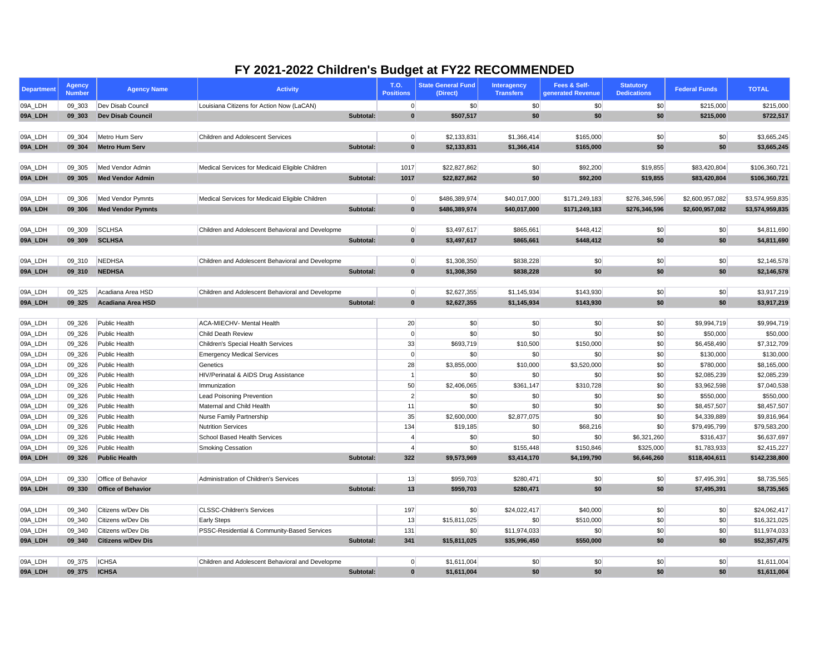| <b>Department</b> | <b>Agency</b><br><b>Number</b> | <b>Agency Name</b>        | <b>Activity</b>                                  | <b>T.O.</b><br><b>Positions</b> |                | <b>State General Fund</b><br>(Direct) | <b>Interagency</b><br><b>Transfers</b> | Fees & Self-<br>generated Revenue | <b>Statutory</b><br><b>Dedications</b> | <b>Federal Funds</b> | <b>TOTAL</b>    |
|-------------------|--------------------------------|---------------------------|--------------------------------------------------|---------------------------------|----------------|---------------------------------------|----------------------------------------|-----------------------------------|----------------------------------------|----------------------|-----------------|
| 09A_LDH           | 09_303                         | Dev Disab Council         | Louisiana Citizens for Action Now (LaCAN)        |                                 | 0              | \$0                                   | \$0                                    | \$0                               | \$0                                    | \$215,000            | \$215,000       |
| 09A_LDH           | 09 303                         | <b>Dev Disab Council</b>  | Subtotal:                                        |                                 | $\mathbf{0}$   | \$507,517                             | \$0                                    | \$0                               | \$0                                    | \$215,000            | \$722,517       |
|                   |                                |                           |                                                  |                                 |                |                                       |                                        |                                   |                                        |                      |                 |
| 09A_LDH           | 09 304                         | Metro Hum Serv            | <b>Children and Adolescent Services</b>          |                                 | 0              | \$2,133,831                           | \$1,366,414                            | \$165,000                         | \$0                                    | \$0                  | \$3,665,245     |
| 09A_LDH           | 09_304                         | <b>Metro Hum Serv</b>     | Subtotal:                                        |                                 | $\mathbf{0}$   | \$2,133,831                           | \$1,366,414                            | \$165,000                         | \$0                                    | \$0                  | \$3,665,245     |
|                   |                                |                           |                                                  |                                 |                |                                       |                                        |                                   |                                        |                      |                 |
| 09A_LDH           | 09 305                         | Med Vendor Admin          | Medical Services for Medicaid Eligible Children  |                                 | 1017           | \$22,827,862                          | \$0                                    | \$92,200                          | \$19,855                               | \$83,420,804         | \$106,360,721   |
| 09A_LDH           | 09 305                         | <b>Med Vendor Admin</b>   | Subtotal:                                        |                                 | 1017           | \$22,827,862                          | \$0                                    | \$92,200                          | \$19,855                               | \$83,420,804         | \$106,360,721   |
|                   |                                |                           |                                                  |                                 |                |                                       |                                        |                                   |                                        |                      |                 |
| 09A_LDH           | 09 306                         | Med Vendor Pymnts         | Medical Services for Medicaid Eligible Children  |                                 | 0              | \$486,389,974                         | \$40,017,000                           | \$171,249,183                     | \$276,346,596                          | \$2,600,957,082      | \$3,574,959,835 |
| 09A_LDH           | 09_306                         | <b>Med Vendor Pymnts</b>  | Subtotal:                                        |                                 | $\bullet$      | \$486,389,974                         | \$40,017,000                           | \$171,249,183                     | \$276,346,596                          | \$2,600,957,082      | \$3,574,959,835 |
|                   |                                |                           |                                                  |                                 |                |                                       |                                        |                                   |                                        |                      |                 |
| $ 09A_LDH $       | 09 309                         | <b>SCLHSA</b>             | Children and Adolescent Behavioral and Developme |                                 | 0              | \$3,497,617                           | \$865,661                              | \$448,412                         | \$0                                    | \$0                  | \$4,811,690     |
| 09A_LDH           | 09 309                         | <b>SCLHSA</b>             | Subtotal:                                        |                                 | $\mathbf{0}$   | \$3,497,617                           | \$865,661                              | \$448,412                         | \$0                                    | \$0                  | \$4,811,690     |
|                   |                                |                           |                                                  |                                 |                |                                       |                                        |                                   |                                        |                      |                 |
| 09A_LDH           | 09 310                         | <b>NEDHSA</b>             | Children and Adolescent Behavioral and Developme |                                 | 0              | \$1,308,350                           | \$838,228                              | \$0                               | \$0                                    | \$0                  | \$2,146,578     |
| 09A_LDH           | 09_310                         | <b>NEDHSA</b>             | Subtotal:                                        |                                 | $\bullet$      | \$1,308,350                           | \$838,228                              | \$0                               | \$0                                    | \$0                  | \$2,146,578     |
|                   |                                |                           |                                                  |                                 |                |                                       |                                        |                                   |                                        |                      |                 |
| 09A_LDH           | 09_325                         | Acadiana Area HSD         | Children and Adolescent Behavioral and Developme |                                 | 0              | \$2,627,355                           | \$1,145,934                            | \$143,930                         | \$0                                    | \$0                  | \$3,917,219     |
| 09A_LDH           | 09 325                         | <b>Acadiana Area HSD</b>  | Subtotal:                                        |                                 | $\mathbf{0}$   | \$2,627,355                           | \$1,145,934                            | \$143,930                         | \$0                                    | \$0                  | \$3,917,219     |
|                   |                                |                           |                                                  |                                 |                |                                       |                                        |                                   |                                        |                      |                 |
| 09A_LDH           | 09_326                         | Public Health             | <b>ACA-MIECHV- Mental Health</b>                 |                                 | 20             | \$0                                   | \$0                                    | \$0                               | \$0                                    | \$9,994,719          | \$9,994,719     |
| 09A_LDH           | 09_326                         | Public Health             | <b>Child Death Review</b>                        |                                 | $\overline{0}$ | \$0                                   | \$0                                    | \$0                               | \$0                                    | \$50,000             | \$50,000        |
| 09A_LDH           | 09_326                         | Public Health             | <b>Children's Special Health Services</b>        |                                 | 33             | \$693,719                             | \$10,500                               | \$150,000                         | \$0                                    | \$6,458,490          | \$7,312,709     |
| 09A_LDH           | 09 326                         | Public Health             | <b>Emergency Medical Services</b>                |                                 | $\overline{0}$ | \$0                                   | \$0                                    | \$0                               | \$0                                    | \$130,000            | \$130,000       |
| 09A_LDH           | 09_326                         | Public Health             | Genetics                                         |                                 | 28             | \$3,855,000                           | \$10,000                               | \$3,520,000                       | \$0                                    | \$780,000            | \$8,165,000     |
| 09A_LDH           | 09_326                         | Public Health             | HIV/Perinatal & AIDS Drug Assistance             |                                 |                | \$0                                   | \$0                                    | \$0                               | \$0                                    | \$2,085,239          | \$2,085,239     |
| 09A_LDH           | 09 326                         | Public Health             | Immunization                                     |                                 | 50             | \$2,406,065                           | \$361,147                              | \$310,728                         | \$0                                    | \$3,962,598          | \$7,040,538     |
| 09A_LDH           | 09_326                         | Public Health             | <b>Lead Poisoning Prevention</b>                 |                                 | 2 <sup>2</sup> | \$0                                   | \$0                                    | \$0                               | \$0                                    | \$550,000            | \$550,000       |
| 09A_LDH           | 09_326                         | Public Health             | Maternal and Child Health                        |                                 | 11             | \$0                                   | \$0                                    | \$0                               | \$0                                    | \$8,457,507          | \$8,457,507     |
| 09A_LDH           | 09 326                         | Public Health             | Nurse Family Partnership                         |                                 | 35             | \$2,600,000                           | \$2,877,075                            | \$0                               | \$0                                    | \$4,339,889          | \$9,816,964     |
| 09A_LDH           | 09_326                         | Public Health             | <b>Nutrition Services</b>                        |                                 | 134            | \$19,185                              | \$0                                    | \$68,216                          | \$0                                    | \$79,495,799         | \$79,583,200    |
| 09A_LDH           | 09_326                         | Public Health             | <b>School Based Health Services</b>              |                                 |                | \$0                                   | 0                                      | \$0                               | \$6,321,260                            | \$316,437            | \$6,637,697     |
| 09A_LDH           | 09_326                         | Public Health             | <b>Smoking Cessation</b>                         |                                 |                | \$0                                   | \$155,448                              | \$150,846                         | \$325,000                              | \$1,783,933          | \$2,415,227     |
| 09A_LDH           | 09 326                         | <b>Public Health</b>      | Subtotal:                                        |                                 | 322            | \$9,573,969                           | \$3,414,170                            | \$4,199,790                       | \$6,646,260                            | \$118,404,611        | \$142,238,800   |
|                   |                                |                           |                                                  |                                 |                |                                       |                                        |                                   |                                        |                      |                 |
| 09A_LDH           | 09_330                         | Office of Behavior        | Administration of Children's Services            |                                 | 13             | \$959,703                             | \$280,471                              | $ 10\rangle$                      | \$0                                    | \$7,495,391          | \$8,735,565     |
| 09A_LDH           | 09_330                         | <b>Office of Behavior</b> | Subtotal:                                        |                                 | 13             | \$959,703                             | \$280,471                              | \$0                               | \$0                                    | \$7,495,391          | \$8,735,565     |
|                   |                                |                           |                                                  |                                 |                |                                       |                                        |                                   |                                        |                      |                 |
| 09A_LDH           | 09_340                         | Citizens w/Dev Dis        | <b>CLSSC-Children's Services</b>                 |                                 | 197            | \$0                                   | \$24,022,417                           | \$40,000                          | \$0                                    | \$0                  | \$24,062,417    |
| 09A_LDH           | 09_340                         | Citizens w/Dev Dis        | <b>Early Steps</b>                               |                                 | 13             | \$15,811,025                          | \$0                                    | \$510,000                         | \$0                                    | \$0                  | \$16,321,025    |
| 09A_LDH           | 09_340                         | Citizens w/Dev Dis        | PSSC-Residential & Community-Based Services      |                                 | 131            | \$0                                   | \$11,974,033                           | \$0                               | \$0                                    | \$0                  | \$11,974,033    |
| 09A_LDH           | 09 340                         | <b>Citizens w/Dev Dis</b> | Subtotal:                                        |                                 | 341            | \$15,811,025                          | \$35,996,450                           | \$550,000                         | \$0                                    | \$0                  | \$52,357,475    |
|                   |                                |                           |                                                  |                                 |                |                                       |                                        |                                   |                                        |                      |                 |
| $ 09A_L$ DH       | 09_375                         | <b>ICHSA</b>              | Children and Adolescent Behavioral and Developme |                                 | 0              | \$1,611,004                           | \$0                                    | \$0                               | \$0                                    | \$0                  | \$1,611,004     |
| 09A_LDH           | 09_375                         | <b>ICHSA</b>              | Subtotal:                                        |                                 | $\mathbf{0}$   | \$1,611,004                           | \$0                                    | \$0                               | \$0                                    | \$0                  | \$1,611,004     |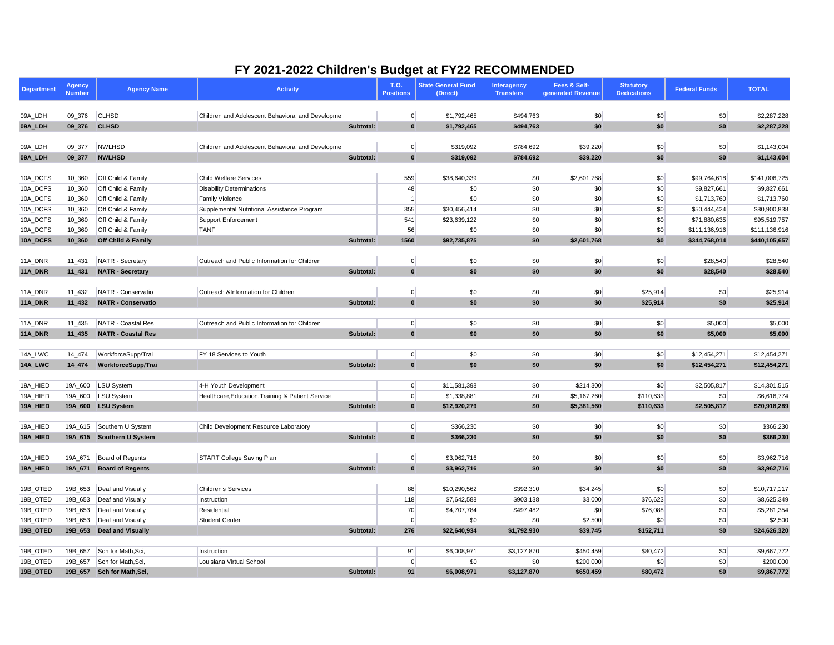| <b>Department</b>             | <b>Agency</b><br><b>Number</b> | <b>Agency Name</b>             | <b>Activity</b>                                   | <b>T.O.</b><br><b>Positions</b> |                    | <b>State General Fund</b><br>(Direct) | <b>Interagency</b><br><b>Transfers</b> | Fees & Self-<br>generated Revenue | <b>Statutory</b><br><b>Dedications</b> | <b>Federal Funds</b> | <b>TOTAL</b>               |
|-------------------------------|--------------------------------|--------------------------------|---------------------------------------------------|---------------------------------|--------------------|---------------------------------------|----------------------------------------|-----------------------------------|----------------------------------------|----------------------|----------------------------|
|                               |                                |                                |                                                   |                                 |                    |                                       |                                        |                                   |                                        |                      |                            |
| 09A_LDH                       | 09_376                         | <b>CLHSD</b>                   | Children and Adolescent Behavioral and Developme  |                                 | 0                  | \$1,792,465                           | \$494,763                              | \$0                               | \$0                                    | \$0                  | \$2,287,228                |
| 09A_LDH                       | 09_376                         | <b>CLHSD</b>                   |                                                   | Subtotal:                       | $\mathbf{0}$       | \$1,792,465                           | \$494,763                              | \$0                               | \$0                                    | \$0                  | \$2,287,228                |
|                               |                                |                                |                                                   |                                 |                    |                                       |                                        |                                   |                                        |                      |                            |
| 09A_LDH<br>09A_LDH            | 09_377<br>09_377               | <b>NWLHSD</b><br><b>NWLHSD</b> | Children and Adolescent Behavioral and Developme  | Subtotal:                       | 0 <br>$\mathbf{0}$ | \$319,092<br>\$319,092                | \$784,692<br>\$784,692                 | \$39,220<br>\$39,220              | \$0<br>\$0                             | \$0<br>\$0           | \$1,143,004<br>\$1,143,004 |
|                               |                                |                                |                                                   |                                 |                    |                                       |                                        |                                   |                                        |                      |                            |
| 10A_DCFS                      | 10_360                         | Off Child & Family             | <b>Child Welfare Services</b>                     |                                 | 559                | \$38,640,339                          | \$0                                    | \$2,601,768                       | \$0                                    | \$99,764,618         | \$141,006,725              |
| 10A_DCFS                      | 10_360                         | Off Child & Family             | <b>Disability Determinations</b>                  |                                 | 48                 | \$0                                   | \$0                                    | \$0                               | \$0                                    | \$9,827,661          | \$9,827,661                |
| 10A_DCFS                      | 10_360                         | Off Child & Family             | <b>Family Violence</b>                            |                                 |                    | \$0                                   | \$0                                    | \$0                               | \$0                                    | \$1,713,760          | \$1,713,760                |
| 10A_DCFS                      | 10_360                         | Off Child & Family             | Supplemental Nutritional Assistance Program       |                                 | 355                | \$30,456,414                          | \$0                                    | \$0                               | \$0                                    | \$50,444,424         | \$80,900,838               |
| 10A_DCFS                      | 10_360                         | Off Child & Family             | Support Enforcement                               |                                 | 541                | \$23,639,122                          | \$0                                    | \$0                               | \$0                                    | \$71,880,635         | \$95,519,757               |
| 10A_DCFS                      | 10_360                         | Off Child & Family             | <b>TANF</b>                                       |                                 | 56                 | \$0                                   | \$0                                    | \$0                               | \$0                                    | \$111,136,916        | \$111,136,916              |
| 10A_DCFS                      | 10_360                         | <b>Off Child &amp; Family</b>  |                                                   | Subtotal:                       | 1560               | \$92,735,875                          | \$0                                    | \$2,601,768                       | \$0                                    | \$344,768,014        | \$440,105,657              |
|                               |                                |                                |                                                   |                                 |                    |                                       |                                        |                                   |                                        |                      |                            |
| 11A_DNR                       | 11_431                         | NATR - Secretary               | Outreach and Public Information for Children      |                                 | 0                  | \$0                                   | \$0                                    | \$0                               | \$0                                    | \$28,540             | \$28,540                   |
| 11A_DNR                       | 11_431                         | <b>NATR - Secretary</b>        |                                                   | Subtotal:                       | $\mathbf{0}$       | \$0                                   | \$0                                    | \$0                               | \$0                                    | \$28,540             | \$28,540                   |
|                               |                                |                                |                                                   |                                 |                    |                                       |                                        |                                   |                                        |                      |                            |
| 11A_DNR                       | 11_432                         | NATR - Conservatio             | Outreach & Information for Children               |                                 | 0                  | $ $ \$0                               | \$0                                    | \$0                               | \$25,914                               | $ $ \$0              | \$25,914                   |
| 11A_DNR                       | $11_432$                       | <b>NATR - Conservatio</b>      |                                                   | Subtotal:                       | $\mathbf 0$        | \$0                                   | \$0                                    | \$0                               | \$25,914                               | \$0                  | \$25,914                   |
|                               |                                |                                |                                                   |                                 |                    |                                       |                                        |                                   |                                        |                      |                            |
| 11A_DNR                       | 11_435                         | NATR - Coastal Res             | Outreach and Public Information for Children      |                                 | 0                  | \$0                                   | \$0                                    | \$0                               | \$0                                    | \$5,000              | \$5,000                    |
| 11A_DNR                       | $11_435$                       | <b>NATR - Coastal Res</b>      |                                                   | Subtotal:                       | $\mathbf{0}$       | \$0                                   | \$0                                    | \$0                               | \$0                                    | \$5,000              | \$5,000                    |
|                               |                                |                                |                                                   |                                 |                    |                                       |                                        |                                   |                                        |                      |                            |
| 14A_LWC                       | 14_474                         | WorkforceSupp/Trai             | FY 18 Services to Youth                           |                                 | 0                  | \$0                                   | \$0                                    | \$0                               | \$0                                    | \$12,454,271         | \$12,454,271               |
| 14A_LWC                       | 14_474                         | WorkforceSupp/Trai             |                                                   | Subtotal:                       | $\mathbf{0}$       | \$0                                   | \$0                                    | \$0                               | \$0                                    | \$12,454,271         | \$12,454,271               |
|                               |                                |                                |                                                   |                                 |                    |                                       |                                        |                                   |                                        |                      |                            |
| 19A_HIED   19A_600 LSU System |                                |                                | 4-H Youth Development                             |                                 | 0                  | \$11,581,398                          | \$0                                    | \$214,300                         | \$0                                    | \$2,505,817          | \$14,301,515               |
| 19A_HIED                      | 19A_600                        | LSU System                     | Healthcare, Education, Training & Patient Service |                                 | 0                  | \$1,338,881                           | \$0                                    | \$5,167,260                       | \$110,633                              | \$0                  | \$6,616,774                |
| 19A_HIED                      |                                | 19A_600 LSU System             |                                                   | Subtotal:                       | $\mathbf{0}$       | \$12,920,279                          | \$0                                    | \$5,381,560                       | \$110,633                              | \$2,505,817          | \$20,918,289               |
| 19A_HIED                      |                                | 19A_615 Southern U System      | Child Development Resource Laboratory             |                                 | 0                  | \$366,230                             | \$0                                    | \$0                               | \$0                                    | $ $ \$0              | \$366,230                  |
| 19A_HIED                      |                                | 19A_615 Southern U System      |                                                   | Subtotal:                       | $\mathbf{0}$       | \$366,230                             | \$0                                    | \$0                               | \$0                                    | \$0                  | \$366,230                  |
|                               |                                |                                |                                                   |                                 |                    |                                       |                                        |                                   |                                        |                      |                            |
| 19A_HIED                      |                                | 19A_671 Board of Regents       | START College Saving Plan                         |                                 | 0                  | \$3,962,716                           | \$0                                    | \$0                               | \$0                                    | $ $ \$0              | \$3,962,716                |
| 19A_HIED                      | 19A_671                        | <b>Board of Regents</b>        |                                                   | Subtotal:                       | $\mathbf{0}$       | \$3,962,716                           | \$0                                    | \$0                               | \$0                                    | \$0                  | \$3,962,716                |
|                               |                                |                                |                                                   |                                 |                    |                                       |                                        |                                   |                                        |                      |                            |
| 19B_OTED                      | 19B_653                        | Deaf and Visually              | Children's Services                               |                                 | 88                 | \$10,290,562                          | \$392,310                              | \$34,245                          | \$0                                    | $\boldsymbol{\$0}$   | \$10,717,117               |
| 19B_OTED                      | 19B_653                        | Deaf and Visually              | Instruction                                       |                                 | 118                | \$7,642,588                           | \$903,138                              | \$3,000                           | \$76,623                               | \$0                  | \$8,625,349                |
| 19B_OTED                      | 19B_653                        | Deaf and Visually              | Residential                                       |                                 | 70                 | \$4,707,784                           | \$497,482                              | \$0                               | \$76,088                               | $ $ \$0              | \$5,281,354                |
| 19B_OTED                      | 19B_653                        | Deaf and Visually              | Student Center                                    |                                 | 0                  | \$0                                   | \$0                                    | \$2,500                           | \$0                                    | \$0                  | \$2,500                    |
| 19B_OTED                      | 19B_653                        | <b>Deaf and Visually</b>       |                                                   | Subtotal:                       | 276                | \$22,640,934                          | \$1,792,930                            | \$39,745                          | \$152,711                              | \$0                  | \$24,626,320               |
|                               |                                |                                |                                                   |                                 |                    |                                       |                                        |                                   |                                        |                      |                            |
| 19B_OTED                      | 19B_657                        | Sch for Math, Sci,             | Instruction                                       |                                 | 91                 | \$6,008,971                           | \$3,127,870                            | \$450,459                         | \$80,472                               | $ $ \$0              | \$9,667,772                |
| 19B_OTED                      | 19B_657                        | Sch for Math, Sci,             | Louisiana Virtual School                          |                                 | 0                  | \$0                                   | \$0                                    | \$200,000                         | \$0                                    | \$0                  | \$200,000                  |
| 19B_OTED                      | 19B_657                        | Sch for Math, Sci,             |                                                   | Subtotal:                       | 91                 | \$6,008,971                           | \$3,127,870                            | \$650,459                         | \$80,472                               | \$0                  | \$9,867,772                |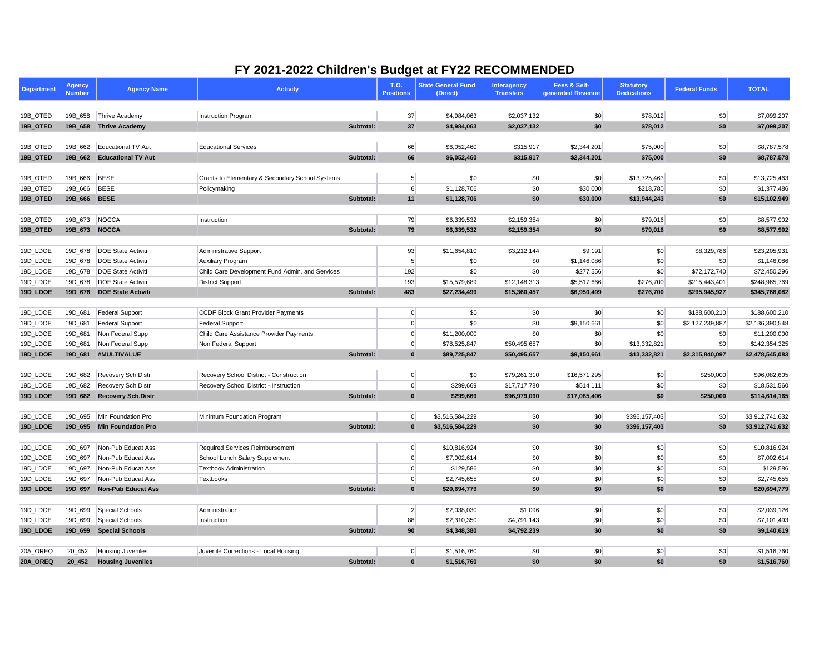| <b>Department</b> | <b>Agency</b><br><b>Number</b> | <b>Agency Name</b>                      | <b>Activity</b>                                 |           | <b>T.O.</b><br><b>Positions</b> | <b>State General Fund</b><br>(Direct) | <b>Interagency</b><br><b>Transfers</b> | Fees & Self-<br>generated Revenue | <b>Statutory</b><br><b>Dedications</b> | <b>Federal Funds</b> | <b>TOTAL</b>    |
|-------------------|--------------------------------|-----------------------------------------|-------------------------------------------------|-----------|---------------------------------|---------------------------------------|----------------------------------------|-----------------------------------|----------------------------------------|----------------------|-----------------|
|                   |                                |                                         |                                                 |           |                                 |                                       |                                        |                                   |                                        |                      |                 |
| 19B_OTED          | 19B_658                        | Thrive Academy                          | Instruction Program                             |           | 37                              | \$4,984,063                           | \$2,037,132                            | \$0                               | \$78,012                               | \$0                  | \$7,099,207     |
| 19B_OTED          | 19B_658                        | <b>Thrive Academy</b>                   |                                                 | Subtotal: | 37                              | \$4,984,063                           | \$2,037,132                            | \$0                               | \$78,012                               | \$0                  | \$7,099,207     |
|                   |                                |                                         |                                                 |           |                                 |                                       |                                        |                                   |                                        |                      |                 |
| 19B_OTED          | 19B_662                        | Educational TV Aut                      | <b>Educational Services</b>                     |           | 66                              | \$6,052,460                           | \$315,917                              | \$2,344,201                       | \$75,000                               | \$0                  | \$8,787,578     |
| 19B_OTED          | 19B_662                        | <b>Educational TV Aut</b>               |                                                 | Subtotal: | 66                              | \$6,052,460                           | \$315,917                              | \$2,344,201                       | \$75,000                               | \$0                  | \$8,787,578     |
| 19B_OTED          | 19B_666                        | BESE                                    | Grants to Elementary & Secondary School Systems |           | 5 <sup>2</sup>                  | \$0                                   | \$0                                    | 30                                | \$13,725,463                           | \$0                  | \$13,725,463    |
| 19B_OTED          | 19B_666                        | BESE                                    | Policymaking                                    |           | $6 \mid$                        | \$1,128,706                           | \$0                                    | \$30,000                          | \$218,780                              | \$0                  | \$1,377,486     |
| 19B_OTED          | 19B_666                        | <b>BESE</b>                             |                                                 | Subtotal: | 11                              | \$1,128,706                           | \$0                                    | \$30,000                          | \$13,944,243                           | \$0                  | \$15,102,949    |
|                   |                                |                                         |                                                 |           |                                 |                                       |                                        |                                   |                                        |                      |                 |
| 19B_OTED          | 19B_673                        | NOCCA                                   | Instruction                                     |           | 79                              | \$6,339,532                           | \$2,159,354                            | \$0                               | \$79,016                               | \$0                  | \$8,577,902     |
| 19B_OTED          | 19B 673 NOCCA                  |                                         |                                                 | Subtotal: | 79                              | \$6,339,532                           | \$2,159,354                            | \$0                               | \$79,016                               | \$0                  | \$8,577,902     |
|                   |                                |                                         |                                                 |           |                                 |                                       |                                        |                                   |                                        |                      |                 |
| 19D_LDOE          |                                | 19D_678   DOE State Activiti            | Administrative Support                          |           | 93                              | \$11,654,810                          | \$3,212,144                            | \$9,191                           | \$0                                    | \$8,329,786          | \$23,205,931    |
| 19D_LDOE          |                                | 19D 678   DOE State Activiti            | Auxiliary Program                               |           |                                 | \$0                                   | \$0                                    | \$1,146,086                       | \$0                                    | <b>SO</b>            | \$1,146,086     |
| 19D_LDOE          |                                | 19D 678   DOE State Activiti            | Child Care Development Fund Admin. and Services |           | 192                             | \$0                                   | \$01                                   | \$277,556                         | \$0                                    | \$72,172,740         | \$72,450,296    |
| 19D_LDOE          |                                | 19D_678   DOE State Activiti            | District Support                                |           | 193                             | \$15,579,689                          | \$12,148,313                           | \$5,517,666                       | \$276,700                              | \$215,443,401        | \$248,965,769   |
| 19D_LDOE          | 19D_678                        | <b>DOE State Activiti</b>               |                                                 | Subtotal: | 483                             | \$27,234,499                          | \$15,360,457                           | \$6,950,499                       | \$276,700                              | \$295,945,927        | \$345,768,082   |
|                   |                                |                                         |                                                 |           |                                 |                                       |                                        |                                   |                                        |                      |                 |
| 19D_LDOE          | 19D_681                        | Federal Support                         | CCDF Block Grant Provider Payments              |           | $\overline{0}$                  | \$0                                   | \$0                                    | \$0                               | \$0                                    | \$188,600,210        | \$188,600,210   |
| 19D_LDOE          | 19D_681                        | Federal Support                         | <b>Federal Support</b>                          |           | $\overline{0}$                  | \$0                                   | \$0                                    | \$9,150,661                       | \$0                                    | \$2,127,239,887      | \$2,136,390,548 |
| 19D_LDOE          | 19D_681                        | Non Federal Supp                        | Child Care Assistance Provider Payments         |           | $\overline{0}$                  | \$11,200,000                          | \$0                                    | 30                                | \$0                                    | \$0 <sub>1</sub>     | \$11,200,000    |
| 19D_LDOE          | 19D_681                        | Non Federal Supp                        | Non Federal Support                             |           | $\overline{0}$                  | \$78,525,847                          | \$50,495,657                           | \$0                               | \$13,332,821                           | \$0                  | \$142,354,325   |
| 19D_LDOE          | 19D_681                        | #MULTIVALUE                             |                                                 | Subtotal: | $\bf{0}$                        | \$89,725,847                          | \$50,495,657                           | \$9,150,661                       | \$13,332,821                           | \$2,315,840,097      | \$2,478,545,083 |
| 19D_LDOE          |                                | 19D_682 Recovery Sch.Distr              | Recovery School District - Construction         |           | $\overline{0}$                  | \$0                                   | \$79,261,310                           | \$16,571,295                      | \$0                                    | \$250,000            | \$96,082,605    |
|                   |                                | 19D_LDOE   19D_682   Recovery Sch.Distr | Recovery School District - Instruction          |           | 0                               | \$299,669                             | \$17,717,780                           | \$514,111                         | \$0                                    | \$0                  | \$18,531,560    |
| 19D_LDOE          |                                | 19D_682 Recovery Sch.Distr              |                                                 | Subtotal: | $\mathbf{0}$                    | \$299,669                             | \$96,979,090                           | \$17,085,406                      | \$0                                    | \$250,000            | \$114,614,165   |
|                   |                                |                                         |                                                 |           |                                 |                                       |                                        |                                   |                                        |                      |                 |
| 19D_LDOE          | 19D 695                        | Min Foundation Pro                      | Minimum Foundation Program                      |           | 0                               | \$3,516,584,229                       | \$0                                    | $ 10\rangle$                      | \$396,157,403                          | \$0                  | \$3,912,741,632 |
| 19D_LDOE          |                                | 19D_695 Min Foundation Pro              |                                                 | Subtotal: | $\mathbf{0}$                    | \$3,516,584,229                       | \$0                                    | \$0                               | \$396,157,403                          | \$0                  | \$3,912,741,632 |
|                   |                                |                                         |                                                 |           |                                 |                                       |                                        |                                   |                                        |                      |                 |
| 19D_LDOE          | 19D_697                        | Non-Pub Educat Ass                      | <b>Required Services Reimbursement</b>          |           | 0                               | \$10,816,924                          | \$0                                    | \$0                               | \$0                                    | \$0                  | \$10,816,924    |
| 19D_LDOE          | 19D_697                        | Non-Pub Educat Ass                      | School Lunch Salary Supplement                  |           | $\overline{0}$                  | \$7,002,614                           | \$0                                    | \$0                               | \$0                                    | \$0                  | \$7,002,614     |
| 19D_LDOE          | 19D_697                        | Non-Pub Educat Ass                      | <b>Textbook Administration</b>                  |           | $\overline{0}$                  | \$129,586                             | \$0                                    | \$0                               | \$0                                    | \$0                  | \$129,586       |
| 19D_LDOE          | 19D_697                        | Non-Pub Educat Ass                      | <b>Textbooks</b>                                |           | 0                               | \$2,745,655                           | \$0                                    | \$0                               | \$0                                    | \$0                  | \$2,745,655     |
| 19D_LDOE          | 19D_697                        | <b>Non-Pub Educat Ass</b>               |                                                 | Subtotal: | $\mathbf{0}$                    | \$20,694,779                          | \$0                                    | \$0                               | \$0                                    | \$0                  | \$20,694,779    |
| 19D_LDOE          | 19D_699                        | Special Schools                         | Administration                                  |           | $2\vert$                        | \$2,038,030                           | \$1,096                                | $ 10\rangle$                      | \$0                                    | \$0                  | \$2,039,126     |
| 19D_LDOE          | 19D_699                        | Special Schools                         | Instruction                                     |           | 88                              | \$2,310,350                           | \$4,791,143                            | \$0                               | \$0                                    | \$0                  | \$7,101,493     |
| 19D_LDOE          | 19D_699                        | <b>Special Schools</b>                  |                                                 | Subtotal: | 90                              | \$4,348,380                           | \$4,792,239                            | \$0                               | \$0                                    | \$0                  | \$9,140,619     |
|                   |                                |                                         |                                                 |           |                                 |                                       |                                        |                                   |                                        |                      |                 |
| 20A_OREQ          | 20_452                         | Housing Juveniles                       | Juvenile Corrections - Local Housing            |           | 0                               | \$1,516,760                           | \$0                                    | $ 10\rangle$                      | \$0                                    | \$0                  | \$1,516,760     |
| 20A_OREQ          | 20_452                         | <b>Housing Juveniles</b>                |                                                 | Subtotal: | $\mathbf{0}$                    | \$1,516,760                           | \$0                                    | \$0                               | \$0                                    | \$0                  | \$1,516,760     |